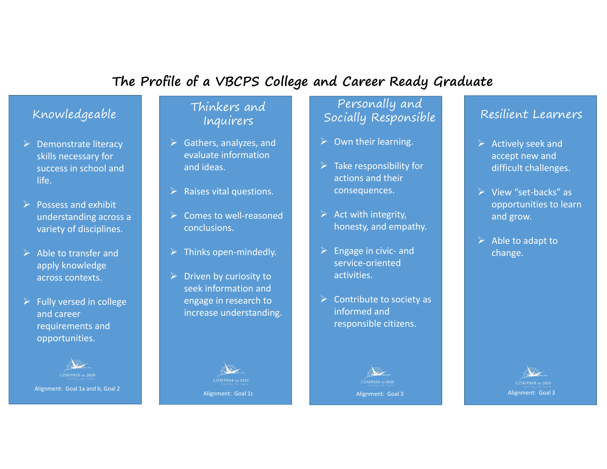# **The Profile of a VBCPS College and Career Ready Graduate**

## Knowledgeable

- $\triangleright$  Demonstrate literacy skills necessary for success in school and life.
- $\triangleright$  Possess and exhibit understanding across <sup>a</sup> variety of disciplines.
- $\triangleright$  Able to transfer and apply knowledge across contexts.
- $\triangleright$  Fully versed in college and career requirements and opportunities.



#### Thinkers and Inquirers

- $\triangleright$  Gathers, analyzes, and evaluate informationand ideas.
- $\triangleright$  Raises vital questions.
- Comes to well‐reasoned conclusions.
- $\triangleright$  Thinks open-mindedly.
- $\triangleright$  Driven by curiosity to seek information and engage in research to increase understanding.



## Personally and Socially Responsible

- $\triangleright$  Own their learning.
- $\triangleright$  Take responsibility for actions and their consequences.
- $\triangleright$  Act with integrity, honesty, and empathy.
- $\blacktriangleright$  Engage in civic‐ and service-oriented activities.
- $\blacktriangleright$  Contribute to society as informed and responsible citizens.



#### Resilient Learners

- $\triangleright$  Actively seek and accept new and difficult challenges.
- View "set‐backs" as opportunities to learn and grow.
- $\triangleright$  Able to adapt to change.